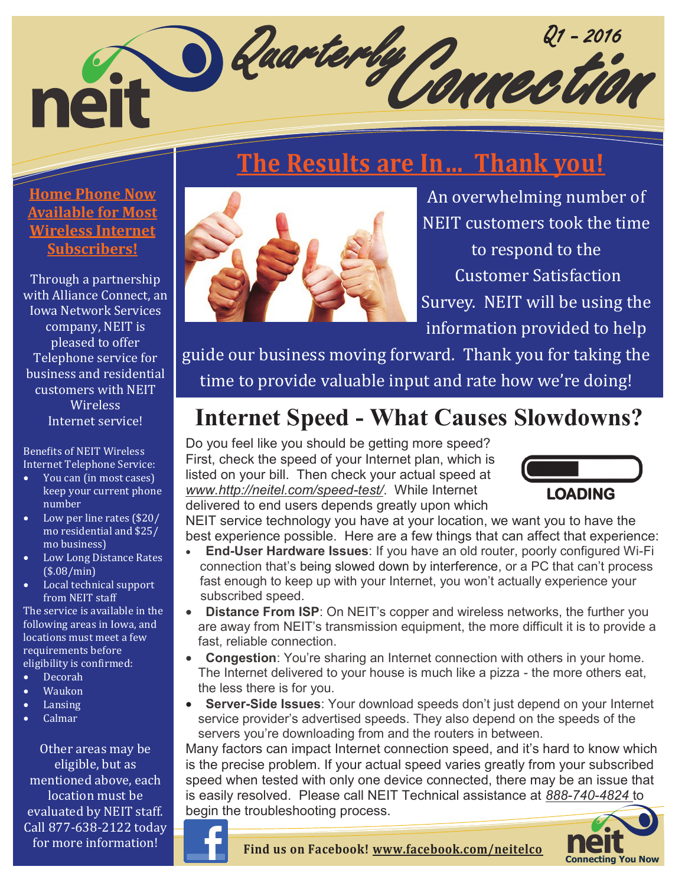## Quarterly Q1 - 2016 Connection neit

# **The Results are In… Thank you!**

### **Home Phone Now Available for Most Wireless Internet Subscribers!**

Through a partnership with Alliance Connect, an Iowa Network Services company, NEIT is pleased to offer Telephone service for business and residential customers with NEIT Wireless Internet service!

Benefits of NEIT Wireless Internet Telephone Service:

- You can (in most cases) keep your current phone number
- Low per line rates (\$20/ mo residential and \$25/ mo business)
- Low Long Distance Rates (\$.08/min)
- Local technical support from NEIT staff

The service is available in the following areas in Iowa, and locations must meet a few requirements before eligibility is confirmed:

- Decorah
- Waukon
- Lansing
- Calmar

Other areas may be eligible, but as mentioned above, each location must be evaluated by NEIT staff. Call 877-638-2122 today for more information!



An overwhelming number of NEIT customers took the time to respond to the Customer Satisfaction Survey. NEIT will be using the information provided to help

guide our business moving forward. Thank you for taking the time to provide valuable input and rate how we're doing!

## **Internet Speed - What Causes Slowdowns?**

Do you feel like you should be getting more speed? First, check the speed of your Internet plan, which is listed on your bill. Then check your actual speed at *www.http://neitel.com/speed-test/*. While Internet delivered to end users depends greatly upon which



NEIT service technology you have at your location, we want you to have the best experience possible. Here are a few things that can affect that experience:

- **End-User Hardware Issues**: If you have an old router, poorly configured Wi-Fi connection that's being slowed down by interference, or a PC that can't process fast enough to keep up with your Internet, you won't actually experience your subscribed speed.
- **Distance From ISP**: On NEIT's copper and wireless networks, the further you are away from NEIT's transmission equipment, the more difficult it is to provide a fast, reliable connection.
- **Congestion**: You're sharing an Internet connection with others in your home. The Internet delivered to your house is much like a pizza - the more others eat, the less there is for you.
- **Server-Side Issues**: Your download speeds don't just depend on your Internet service provider's advertised speeds. They also depend on the speeds of the servers you're downloading from and the routers in between.

Many factors can impact Internet connection speed, and it's hard to know which is the precise problem. If your actual speed varies greatly from your subscribed speed when tested with only one device connected, there may be an issue that is easily resolved. Please call NEIT Technical assistance at *888-740-4824* to begin the troubleshooting process.

**Find us on Facebook! www.facebook.com/neitelco**